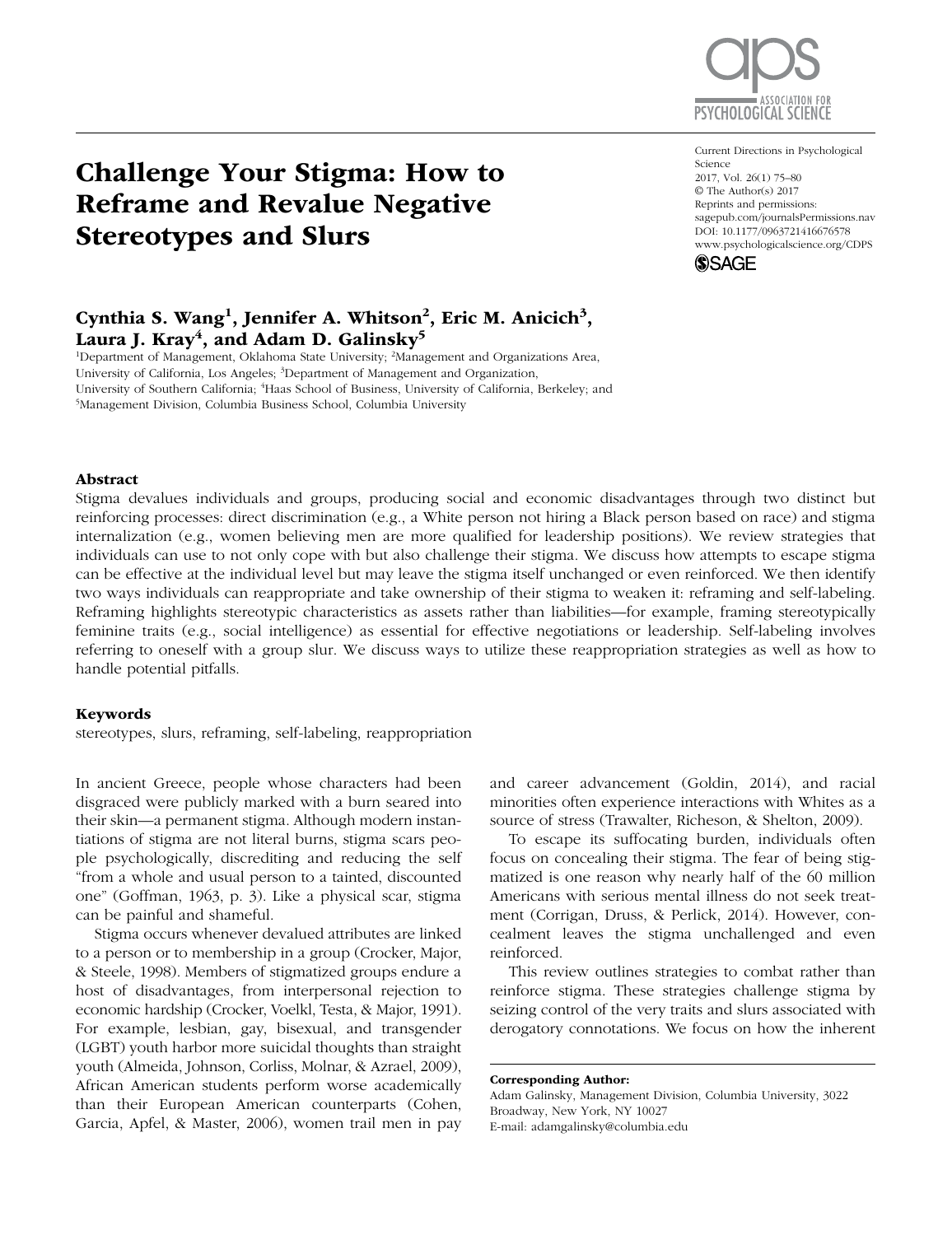

# Challenge Your Stigma: How to Reframe and Revalue Negative Stereotypes and Slurs

#### Current Directions in Psychological Science 2017, Vol. 26(1) 75–80 © The Author(s) 2017 Reprints and permissions: [sagepub.com/journalsPermissions.nav](http://sagepub.com/journalsPermissions.nav) [DOI: 10.1177/0963721416676578](http://DOI: 10.1177/0963721416676578) www.psychologicalscience.org/CDPS



# Cynthia S. Wang<sup>1</sup>, Jennifer A. Whitson<sup>2</sup>, Eric M. Anicich<sup>3</sup>, Laura J. Kray<sup>4</sup>, and Adam D. Galinsky<sup>5</sup>

<sup>1</sup>Department of Management, Oklahoma State University; <sup>2</sup>Management and Organizations Area, University of California, Los Angeles; <sup>3</sup>Department of Management and Organization, University of Southern California; <sup>4</sup>Haas School of Business, University of California, Berkeley; and 5Management Division, Columbia Business School, Columbia University Management Division, Columbia Business School, Columbia University

#### Abstract

Stigma devalues individuals and groups, producing social and economic disadvantages through two distinct but reinforcing processes: direct discrimination (e.g., a White person not hiring a Black person based on race) and stigma internalization (e.g., women believing men are more qualified for leadership positions). We review strategies that individuals can use to not only cope with but also challenge their stigma. We discuss how attempts to escape stigma can be effective at the individual level but may leave the stigma itself unchanged or even reinforced. We then identify two ways individuals can reappropriate and take ownership of their stigma to weaken it: reframing and self-labeling. Reframing highlights stereotypic characteristics as assets rather than liabilities—for example, framing stereotypically feminine traits (e.g., social intelligence) as essential for effective negotiations or leadership. Self-labeling involves referring to oneself with a group slur. We discuss ways to utilize these reappropriation strategies as well as how to handle potential pitfalls.

#### Keywords

stereotypes, slurs, reframing, self-labeling, reappropriation

In ancient Greece, people whose characters had been disgraced were publicly marked with a burn seared into their skin—a permanent stigma. Although modern instantiations of stigma are not literal burns, stigma scars people psychologically, discrediting and reducing the self "from a whole and usual person to a tainted, discounted one" (Goffman, 1963, p. 3). Like a physical scar, stigma can be painful and shameful.

Stigma occurs whenever devalued attributes are linked to a person or to membership in a group (Crocker, Major, & Steele, 1998). Members of stigmatized groups endure a host of disadvantages, from interpersonal rejection to economic hardship (Crocker, Voelkl, Testa, & Major, 1991). For example, lesbian, gay, bisexual, and transgender (LGBT) youth harbor more suicidal thoughts than straight youth (Almeida, Johnson, Corliss, Molnar, & Azrael, 2009), African American students perform worse academically than their European American counterparts (Cohen, Garcia, Apfel, & Master, 2006), women trail men in pay

and career advancement (Goldin, 2014), and racial minorities often experience interactions with Whites as a source of stress (Trawalter, Richeson, & Shelton, 2009).

To escape its suffocating burden, individuals often focus on concealing their stigma. The fear of being stigmatized is one reason why nearly half of the 60 million Americans with serious mental illness do not seek treatment (Corrigan, Druss, & Perlick, 2014). However, concealment leaves the stigma unchallenged and even reinforced.

This review outlines strategies to combat rather than reinforce stigma. These strategies challenge stigma by seizing control of the very traits and slurs associated with derogatory connotations. We focus on how the inherent

Corresponding Author: Adam Galinsky, Management Division, Columbia University, 3022 Broadway, New York, NY 10027 E-mail: adamgalinsky@columbia.edu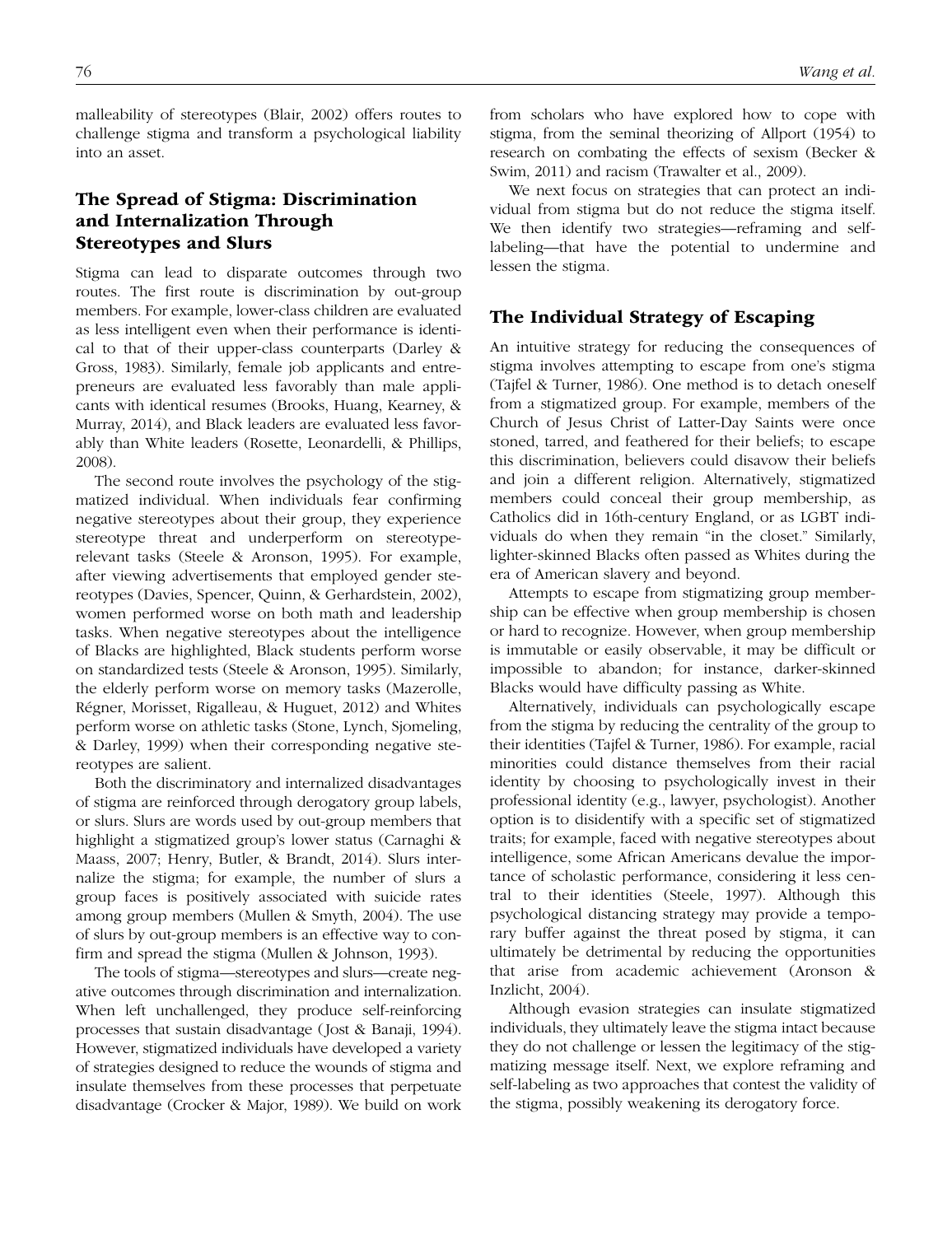malleability of stereotypes (Blair, 2002) offers routes to challenge stigma and transform a psychological liability into an asset.

## The Spread of Stigma: Discrimination and Internalization Through Stereotypes and Slurs

Stigma can lead to disparate outcomes through two routes. The first route is discrimination by out-group members. For example, lower-class children are evaluated as less intelligent even when their performance is identical to that of their upper-class counterparts (Darley & Gross, 1983). Similarly, female job applicants and entrepreneurs are evaluated less favorably than male applicants with identical resumes (Brooks, Huang, Kearney, & Murray, 2014), and Black leaders are evaluated less favorably than White leaders (Rosette, Leonardelli, & Phillips, 2008).

The second route involves the psychology of the stigmatized individual. When individuals fear confirming negative stereotypes about their group, they experience stereotype threat and underperform on stereotyperelevant tasks (Steele & Aronson, 1995). For example, after viewing advertisements that employed gender stereotypes (Davies, Spencer, Quinn, & Gerhardstein, 2002), women performed worse on both math and leadership tasks. When negative stereotypes about the intelligence of Blacks are highlighted, Black students perform worse on standardized tests (Steele & Aronson, 1995). Similarly, the elderly perform worse on memory tasks (Mazerolle, Régner, Morisset, Rigalleau, & Huguet, 2012) and Whites perform worse on athletic tasks (Stone, Lynch, Sjomeling, & Darley, 1999) when their corresponding negative stereotypes are salient.

Both the discriminatory and internalized disadvantages of stigma are reinforced through derogatory group labels, or slurs. Slurs are words used by out-group members that highlight a stigmatized group's lower status (Carnaghi & Maass, 2007; Henry, Butler, & Brandt, 2014). Slurs internalize the stigma; for example, the number of slurs a group faces is positively associated with suicide rates among group members (Mullen & Smyth, 2004). The use of slurs by out-group members is an effective way to confirm and spread the stigma (Mullen & Johnson, 1993).

The tools of stigma—stereotypes and slurs—create negative outcomes through discrimination and internalization. When left unchallenged, they produce self-reinforcing processes that sustain disadvantage (Jost & Banaji, 1994). However, stigmatized individuals have developed a variety of strategies designed to reduce the wounds of stigma and insulate themselves from these processes that perpetuate disadvantage (Crocker & Major, 1989). We build on work from scholars who have explored how to cope with stigma, from the seminal theorizing of Allport (1954) to research on combating the effects of sexism (Becker & Swim, 2011) and racism (Trawalter et al., 2009).

We next focus on strategies that can protect an individual from stigma but do not reduce the stigma itself. We then identify two strategies—reframing and selflabeling—that have the potential to undermine and lessen the stigma.

## The Individual Strategy of Escaping

An intuitive strategy for reducing the consequences of stigma involves attempting to escape from one's stigma (Tajfel & Turner, 1986). One method is to detach oneself from a stigmatized group. For example, members of the Church of Jesus Christ of Latter-Day Saints were once stoned, tarred, and feathered for their beliefs; to escape this discrimination, believers could disavow their beliefs and join a different religion. Alternatively, stigmatized members could conceal their group membership, as Catholics did in 16th-century England, or as LGBT individuals do when they remain "in the closet." Similarly, lighter-skinned Blacks often passed as Whites during the era of American slavery and beyond.

Attempts to escape from stigmatizing group membership can be effective when group membership is chosen or hard to recognize. However, when group membership is immutable or easily observable, it may be difficult or impossible to abandon; for instance, darker-skinned Blacks would have difficulty passing as White.

Alternatively, individuals can psychologically escape from the stigma by reducing the centrality of the group to their identities (Tajfel & Turner, 1986). For example, racial minorities could distance themselves from their racial identity by choosing to psychologically invest in their professional identity (e.g., lawyer, psychologist). Another option is to disidentify with a specific set of stigmatized traits; for example, faced with negative stereotypes about intelligence, some African Americans devalue the importance of scholastic performance, considering it less central to their identities (Steele, 1997). Although this psychological distancing strategy may provide a temporary buffer against the threat posed by stigma, it can ultimately be detrimental by reducing the opportunities that arise from academic achievement (Aronson & Inzlicht, 2004).

Although evasion strategies can insulate stigmatized individuals, they ultimately leave the stigma intact because they do not challenge or lessen the legitimacy of the stigmatizing message itself. Next, we explore reframing and self-labeling as two approaches that contest the validity of the stigma, possibly weakening its derogatory force.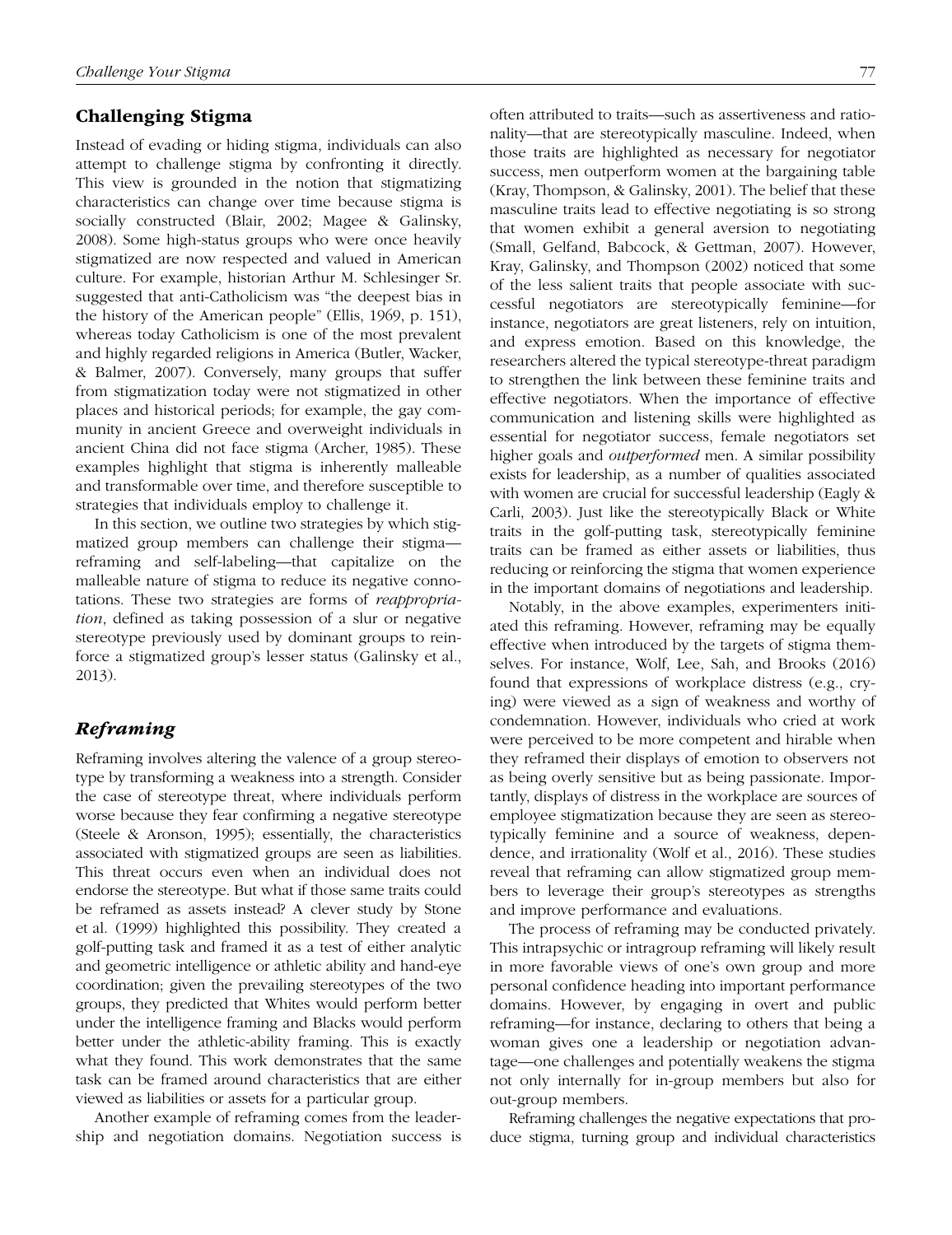## Challenging Stigma

Instead of evading or hiding stigma, individuals can also attempt to challenge stigma by confronting it directly. This view is grounded in the notion that stigmatizing characteristics can change over time because stigma is socially constructed (Blair, 2002; Magee & Galinsky, 2008). Some high-status groups who were once heavily stigmatized are now respected and valued in American culture. For example, historian Arthur M. Schlesinger Sr. suggested that anti-Catholicism was "the deepest bias in the history of the American people" (Ellis, 1969, p. 151), whereas today Catholicism is one of the most prevalent and highly regarded religions in America (Butler, Wacker, & Balmer, 2007). Conversely, many groups that suffer from stigmatization today were not stigmatized in other places and historical periods; for example, the gay community in ancient Greece and overweight individuals in ancient China did not face stigma (Archer, 1985). These examples highlight that stigma is inherently malleable and transformable over time, and therefore susceptible to strategies that individuals employ to challenge it.

In this section, we outline two strategies by which stigmatized group members can challenge their stigma reframing and self-labeling—that capitalize on the malleable nature of stigma to reduce its negative connotations. These two strategies are forms of *reappropriation*, defined as taking possession of a slur or negative stereotype previously used by dominant groups to reinforce a stigmatized group's lesser status (Galinsky et al., 2013).

## *Reframing*

Reframing involves altering the valence of a group stereotype by transforming a weakness into a strength. Consider the case of stereotype threat, where individuals perform worse because they fear confirming a negative stereotype (Steele & Aronson, 1995); essentially, the characteristics associated with stigmatized groups are seen as liabilities. This threat occurs even when an individual does not endorse the stereotype. But what if those same traits could be reframed as assets instead? A clever study by Stone et al. (1999) highlighted this possibility. They created a golf-putting task and framed it as a test of either analytic and geometric intelligence or athletic ability and hand-eye coordination; given the prevailing stereotypes of the two groups, they predicted that Whites would perform better under the intelligence framing and Blacks would perform better under the athletic-ability framing. This is exactly what they found. This work demonstrates that the same task can be framed around characteristics that are either viewed as liabilities or assets for a particular group.

Another example of reframing comes from the leadership and negotiation domains. Negotiation success is often attributed to traits—such as assertiveness and rationality—that are stereotypically masculine. Indeed, when those traits are highlighted as necessary for negotiator success, men outperform women at the bargaining table (Kray, Thompson, & Galinsky, 2001). The belief that these masculine traits lead to effective negotiating is so strong that women exhibit a general aversion to negotiating (Small, Gelfand, Babcock, & Gettman, 2007). However, Kray, Galinsky, and Thompson (2002) noticed that some of the less salient traits that people associate with successful negotiators are stereotypically feminine—for instance, negotiators are great listeners, rely on intuition, and express emotion. Based on this knowledge, the researchers altered the typical stereotype-threat paradigm to strengthen the link between these feminine traits and effective negotiators. When the importance of effective communication and listening skills were highlighted as essential for negotiator success, female negotiators set higher goals and *outperformed* men. A similar possibility exists for leadership, as a number of qualities associated with women are crucial for successful leadership (Eagly & Carli, 2003). Just like the stereotypically Black or White traits in the golf-putting task, stereotypically feminine traits can be framed as either assets or liabilities, thus reducing or reinforcing the stigma that women experience in the important domains of negotiations and leadership.

Notably, in the above examples, experimenters initiated this reframing. However, reframing may be equally effective when introduced by the targets of stigma themselves. For instance, Wolf, Lee, Sah, and Brooks (2016) found that expressions of workplace distress (e.g., crying) were viewed as a sign of weakness and worthy of condemnation. However, individuals who cried at work were perceived to be more competent and hirable when they reframed their displays of emotion to observers not as being overly sensitive but as being passionate. Importantly, displays of distress in the workplace are sources of employee stigmatization because they are seen as stereotypically feminine and a source of weakness, dependence, and irrationality (Wolf et al., 2016). These studies reveal that reframing can allow stigmatized group members to leverage their group's stereotypes as strengths and improve performance and evaluations.

The process of reframing may be conducted privately. This intrapsychic or intragroup reframing will likely result in more favorable views of one's own group and more personal confidence heading into important performance domains. However, by engaging in overt and public reframing—for instance, declaring to others that being a woman gives one a leadership or negotiation advantage—one challenges and potentially weakens the stigma not only internally for in-group members but also for out-group members.

Reframing challenges the negative expectations that produce stigma, turning group and individual characteristics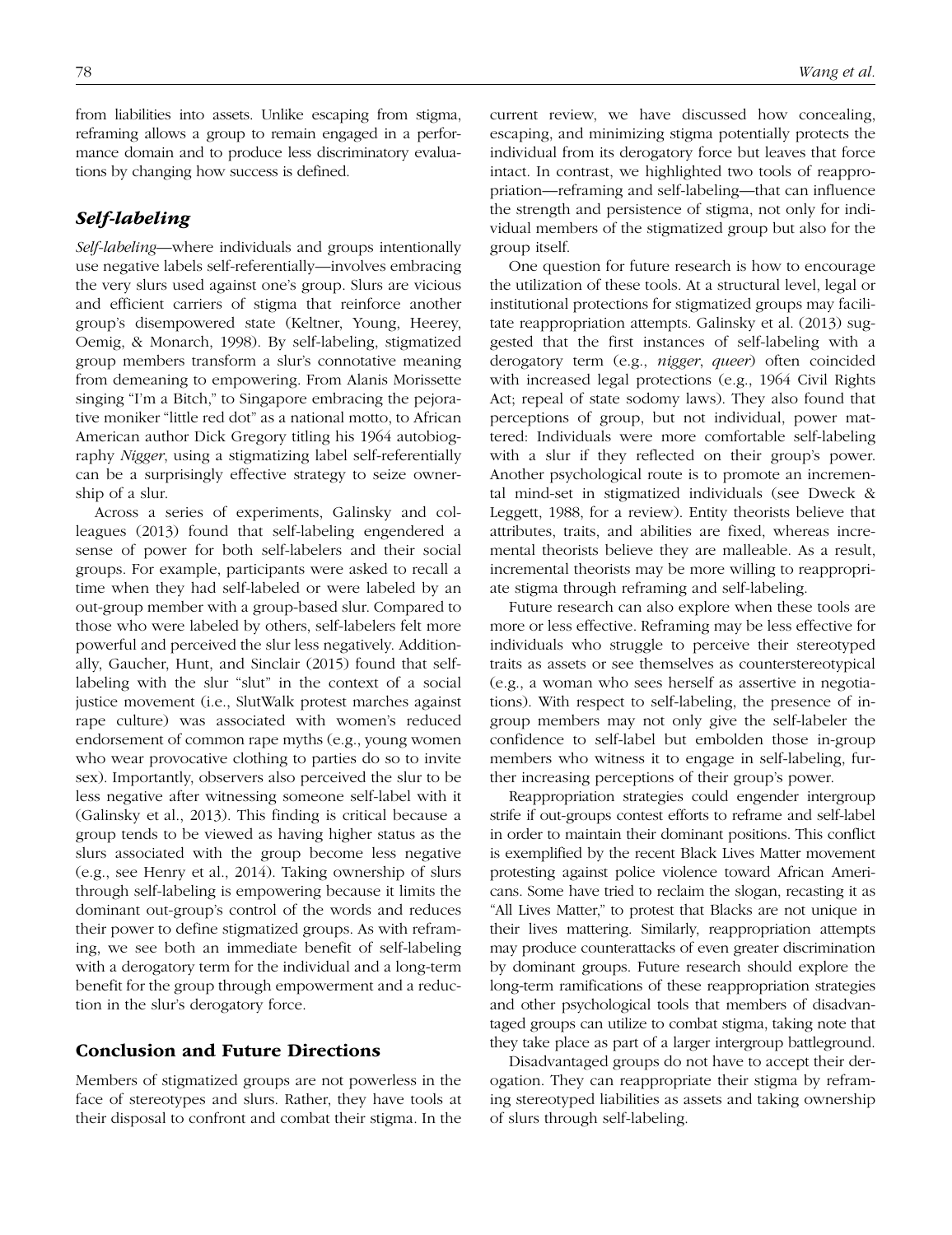from liabilities into assets. Unlike escaping from stigma, reframing allows a group to remain engaged in a performance domain and to produce less discriminatory evaluations by changing how success is defined.

## *Self-labeling*

*Self-labeling*—where individuals and groups intentionally use negative labels self-referentially—involves embracing the very slurs used against one's group. Slurs are vicious and efficient carriers of stigma that reinforce another group's disempowered state (Keltner, Young, Heerey, Oemig, & Monarch, 1998). By self-labeling, stigmatized group members transform a slur's connotative meaning from demeaning to empowering. From Alanis Morissette singing "I'm a Bitch," to Singapore embracing the pejorative moniker "little red dot" as a national motto, to African American author Dick Gregory titling his 1964 autobiography *Nigger*, using a stigmatizing label self-referentially can be a surprisingly effective strategy to seize ownership of a slur.

Across a series of experiments, Galinsky and colleagues (2013) found that self-labeling engendered a sense of power for both self-labelers and their social groups. For example, participants were asked to recall a time when they had self-labeled or were labeled by an out-group member with a group-based slur. Compared to those who were labeled by others, self-labelers felt more powerful and perceived the slur less negatively. Additionally, Gaucher, Hunt, and Sinclair (2015) found that selflabeling with the slur "slut" in the context of a social justice movement (i.e., SlutWalk protest marches against rape culture) was associated with women's reduced endorsement of common rape myths (e.g., young women who wear provocative clothing to parties do so to invite sex). Importantly, observers also perceived the slur to be less negative after witnessing someone self-label with it (Galinsky et al., 2013). This finding is critical because a group tends to be viewed as having higher status as the slurs associated with the group become less negative (e.g., see Henry et al., 2014). Taking ownership of slurs through self-labeling is empowering because it limits the dominant out-group's control of the words and reduces their power to define stigmatized groups. As with reframing, we see both an immediate benefit of self-labeling with a derogatory term for the individual and a long-term benefit for the group through empowerment and a reduction in the slur's derogatory force.

## Conclusion and Future Directions

Members of stigmatized groups are not powerless in the face of stereotypes and slurs. Rather, they have tools at their disposal to confront and combat their stigma. In the current review, we have discussed how concealing, escaping, and minimizing stigma potentially protects the individual from its derogatory force but leaves that force intact. In contrast, we highlighted two tools of reappropriation—reframing and self-labeling—that can influence the strength and persistence of stigma, not only for individual members of the stigmatized group but also for the group itself.

One question for future research is how to encourage the utilization of these tools. At a structural level, legal or institutional protections for stigmatized groups may facilitate reappropriation attempts. Galinsky et al. (2013) suggested that the first instances of self-labeling with a derogatory term (e.g., *nigger*, *queer*) often coincided with increased legal protections (e.g., 1964 Civil Rights Act; repeal of state sodomy laws). They also found that perceptions of group, but not individual, power mattered: Individuals were more comfortable self-labeling with a slur if they reflected on their group's power. Another psychological route is to promote an incremental mind-set in stigmatized individuals (see Dweck & Leggett, 1988, for a review). Entity theorists believe that attributes, traits, and abilities are fixed, whereas incremental theorists believe they are malleable. As a result, incremental theorists may be more willing to reappropriate stigma through reframing and self-labeling.

Future research can also explore when these tools are more or less effective. Reframing may be less effective for individuals who struggle to perceive their stereotyped traits as assets or see themselves as counterstereotypical (e.g., a woman who sees herself as assertive in negotiations). With respect to self-labeling, the presence of ingroup members may not only give the self-labeler the confidence to self-label but embolden those in-group members who witness it to engage in self-labeling, further increasing perceptions of their group's power.

Reappropriation strategies could engender intergroup strife if out-groups contest efforts to reframe and self-label in order to maintain their dominant positions. This conflict is exemplified by the recent Black Lives Matter movement protesting against police violence toward African Americans. Some have tried to reclaim the slogan, recasting it as "All Lives Matter," to protest that Blacks are not unique in their lives mattering. Similarly, reappropriation attempts may produce counterattacks of even greater discrimination by dominant groups. Future research should explore the long-term ramifications of these reappropriation strategies and other psychological tools that members of disadvantaged groups can utilize to combat stigma, taking note that they take place as part of a larger intergroup battleground.

Disadvantaged groups do not have to accept their derogation. They can reappropriate their stigma by reframing stereotyped liabilities as assets and taking ownership of slurs through self-labeling.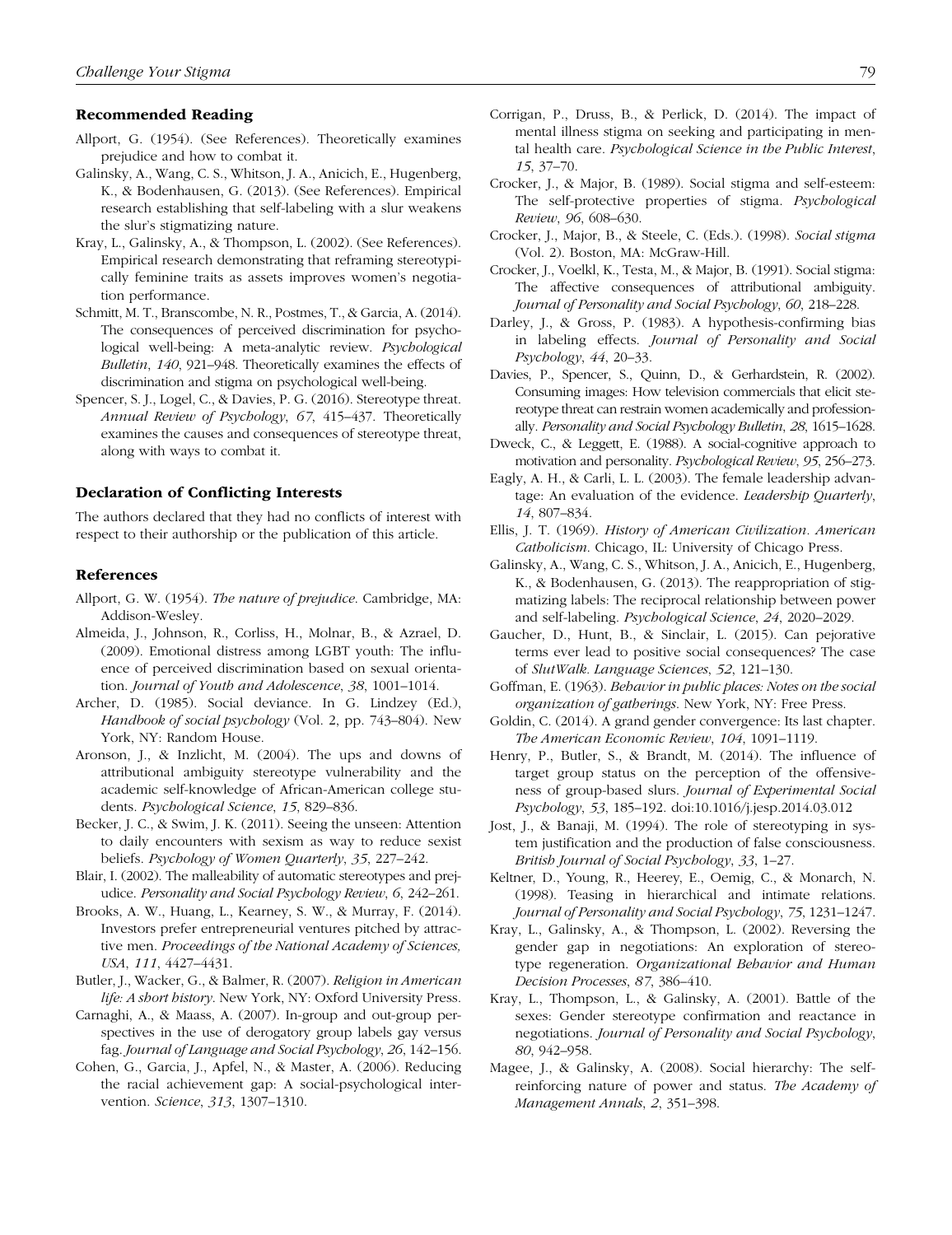#### Recommended Reading

- Allport, G. (1954). (See References). Theoretically examines prejudice and how to combat it.
- Galinsky, A., Wang, C. S., Whitson, J. A., Anicich, E., Hugenberg, K., & Bodenhausen, G. (2013). (See References). Empirical research establishing that self-labeling with a slur weakens the slur's stigmatizing nature.
- Kray, L., Galinsky, A., & Thompson, L. (2002). (See References). Empirical research demonstrating that reframing stereotypically feminine traits as assets improves women's negotiation performance.
- Schmitt, M. T., Branscombe, N. R., Postmes, T., & Garcia, A. (2014). The consequences of perceived discrimination for psychological well-being: A meta-analytic review. *Psychological Bulletin*, *140*, 921–948. Theoretically examines the effects of discrimination and stigma on psychological well-being.
- Spencer, S. J., Logel, C., & Davies, P. G. (2016). Stereotype threat. *Annual Review of Psychology*, *67*, 415–437. Theoretically examines the causes and consequences of stereotype threat, along with ways to combat it.

#### Declaration of Conflicting Interests

The authors declared that they had no conflicts of interest with respect to their authorship or the publication of this article.

### References

- Allport, G. W. (1954). *The nature of prejudice*. Cambridge, MA: Addison-Wesley.
- Almeida, J., Johnson, R., Corliss, H., Molnar, B., & Azrael, D. (2009). Emotional distress among LGBT youth: The influence of perceived discrimination based on sexual orientation. *Journal of Youth and Adolescence*, *38*, 1001–1014.
- Archer, D. (1985). Social deviance. In G. Lindzey (Ed.), *Handbook of social psychology* (Vol. 2, pp. 743–804). New York, NY: Random House.
- Aronson, J., & Inzlicht, M. (2004). The ups and downs of attributional ambiguity stereotype vulnerability and the academic self-knowledge of African-American college students. *Psychological Science*, *15*, 829–836.
- Becker, J. C., & Swim, J. K. (2011). Seeing the unseen: Attention to daily encounters with sexism as way to reduce sexist beliefs. *Psychology of Women Quarterly*, *35*, 227–242.
- Blair, I. (2002). The malleability of automatic stereotypes and prejudice. *Personality and Social Psychology Review*, *6*, 242–261.
- Brooks, A. W., Huang, L., Kearney, S. W., & Murray, F. (2014). Investors prefer entrepreneurial ventures pitched by attractive men. *Proceedings of the National Academy of Sciences, USA*, *111*, 4427–4431.
- Butler, J., Wacker, G., & Balmer, R. (2007). *Religion in American life: A short history*. New York, NY: Oxford University Press.
- Carnaghi, A., & Maass, A. (2007). In-group and out-group perspectives in the use of derogatory group labels gay versus fag. *Journal of Language and Social Psychology*, *26*, 142–156.
- Cohen, G., Garcia, J., Apfel, N., & Master, A. (2006). Reducing the racial achievement gap: A social-psychological intervention. *Science*, *313*, 1307–1310.
- Corrigan, P., Druss, B., & Perlick, D. (2014). The impact of mental illness stigma on seeking and participating in mental health care. *Psychological Science in the Public Interest*, *15*, 37–70.
- Crocker, J., & Major, B. (1989). Social stigma and self-esteem: The self-protective properties of stigma. *Psychological Review*, *96*, 608–630.
- Crocker, J., Major, B., & Steele, C. (Eds.). (1998). *Social stigma* (Vol. 2). Boston, MA: McGraw-Hill.
- Crocker, J., Voelkl, K., Testa, M., & Major, B. (1991). Social stigma: The affective consequences of attributional ambiguity. *Journal of Personality and Social Psychology*, *60*, 218–228.
- Darley, J., & Gross, P. (1983). A hypothesis-confirming bias in labeling effects. *Journal of Personality and Social Psychology*, *44*, 20–33.
- Davies, P., Spencer, S., Quinn, D., & Gerhardstein, R. (2002). Consuming images: How television commercials that elicit stereotype threat can restrain women academically and professionally. *Personality and Social Psychology Bulletin*, *28*, 1615–1628.
- Dweck, C., & Leggett, E. (1988). A social-cognitive approach to motivation and personality. *Psychological Review*, *95*, 256–273.
- Eagly, A. H., & Carli, L. L. (2003). The female leadership advantage: An evaluation of the evidence. *Leadership Quarterly*, *14*, 807–834.
- Ellis, J. T. (1969). *History of American Civilization. American Catholicism*. Chicago, IL: University of Chicago Press.
- Galinsky, A., Wang, C. S., Whitson, J. A., Anicich, E., Hugenberg, K., & Bodenhausen, G. (2013). The reappropriation of stigmatizing labels: The reciprocal relationship between power and self-labeling. *Psychological Science*, *24*, 2020–2029.
- Gaucher, D., Hunt, B., & Sinclair, L. (2015). Can pejorative terms ever lead to positive social consequences? The case of *SlutWalk. Language Sciences*, *52*, 121–130.
- Goffman, E. (1963). *Behavior in public places: Notes on the social organization of gatherings*. New York, NY: Free Press.
- Goldin, C. (2014). A grand gender convergence: Its last chapter. *The American Economic Review*, *104*, 1091–1119.
- Henry, P., Butler, S., & Brandt, M. (2014). The influence of target group status on the perception of the offensiveness of group-based slurs. *Journal of Experimental Social Psychology*, *53*, 185–192. doi:10.1016/j.jesp.2014.03.012
- Jost, J., & Banaji, M. (1994). The role of stereotyping in system justification and the production of false consciousness. *British Journal of Social Psychology*, *33*, 1–27.
- Keltner, D., Young, R., Heerey, E., Oemig, C., & Monarch, N. (1998). Teasing in hierarchical and intimate relations. *Journal of Personality and Social Psychology*, *75*, 1231–1247.
- Kray, L., Galinsky, A., & Thompson, L. (2002). Reversing the gender gap in negotiations: An exploration of stereotype regeneration. *Organizational Behavior and Human Decision Processes*, *87*, 386–410.
- Kray, L., Thompson, L., & Galinsky, A. (2001). Battle of the sexes: Gender stereotype confirmation and reactance in negotiations. *Journal of Personality and Social Psychology*, *80*, 942–958.
- Magee, J., & Galinsky, A. (2008). Social hierarchy: The selfreinforcing nature of power and status. *The Academy of Management Annals*, *2*, 351–398.